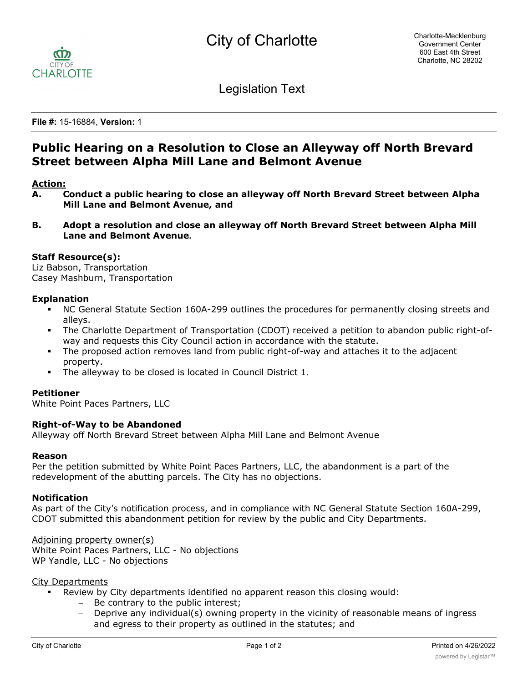

Legislation Text

**File #:** 15-16884, **Version:** 1

# **Public Hearing on a Resolution to Close an Alleyway off North Brevard Street between Alpha Mill Lane and Belmont Avenue**

# **Action:**

- **A. Conduct a public hearing to close an alleyway off North Brevard Street between Alpha Mill Lane and Belmont Avenue, and**
- **B. Adopt a resolution and close an alleyway off North Brevard Street between Alpha Mill Lane and Belmont Avenue.**

# **Staff Resource(s):**

Liz Babson, Transportation Casey Mashburn, Transportation

# **Explanation**

- § NC General Statute Section 160A-299 outlines the procedures for permanently closing streets and alleys.
- § The Charlotte Department of Transportation (CDOT) received a petition to abandon public right-ofway and requests this City Council action in accordance with the statute.
- The proposed action removes land from public right-of-way and attaches it to the adjacent property.
- § The alleyway to be closed is located in Council District 1.

#### **Petitioner**

White Point Paces Partners, LLC

#### **Right-of-Way to be Abandoned**

Alleyway off North Brevard Street between Alpha Mill Lane and Belmont Avenue

#### **Reason**

Per the petition submitted by White Point Paces Partners, LLC, the abandonment is a part of the redevelopment of the abutting parcels. The City has no objections.

#### **Notification**

As part of the City's notification process, and in compliance with NC General Statute Section 160A-299, CDOT submitted this abandonment petition for review by the public and City Departments.

Adjoining property owner(s) White Point Paces Partners, LLC - No objections WP Yandle, LLC - No objections

#### City Departments

- Review by City departments identified no apparent reason this closing would:
	- Be contrary to the public interest;
	- Deprive any individual(s) owning property in the vicinity of reasonable means of ingress and egress to their property as outlined in the statutes; and